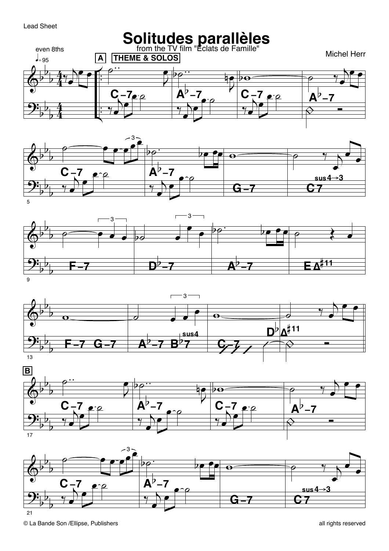